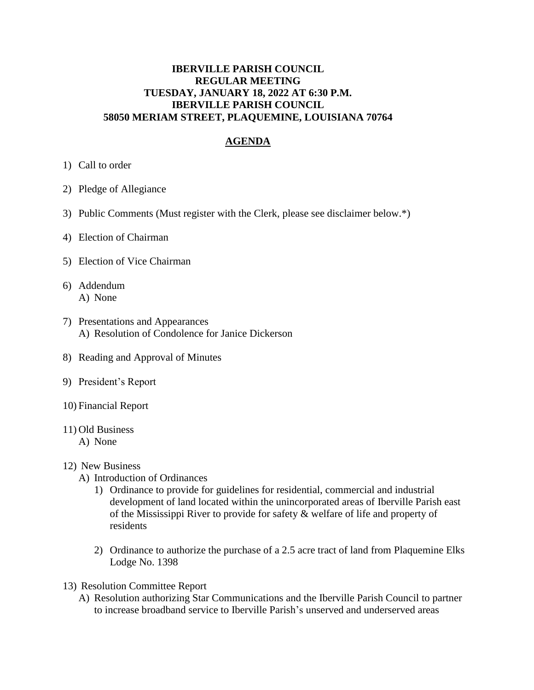## **IBERVILLE PARISH COUNCIL REGULAR MEETING TUESDAY, JANUARY 18, 2022 AT 6:30 P.M. IBERVILLE PARISH COUNCIL 58050 MERIAM STREET, PLAQUEMINE, LOUISIANA 70764**

## **AGENDA**

- 1) Call to order
- 2) Pledge of Allegiance
- 3) Public Comments (Must register with the Clerk, please see disclaimer below.\*)
- 4) Election of Chairman
- 5) Election of Vice Chairman
- 6) Addendum A) None
- 7) Presentations and Appearances A) Resolution of Condolence for Janice Dickerson
- 8) Reading and Approval of Minutes
- 9) President's Report
- 10) Financial Report
- 11) Old Business
	- A) None

## 12) New Business

- A) Introduction of Ordinances
	- 1) Ordinance to provide for guidelines for residential, commercial and industrial development of land located within the unincorporated areas of Iberville Parish east of the Mississippi River to provide for safety & welfare of life and property of residents
	- 2) Ordinance to authorize the purchase of a 2.5 acre tract of land from Plaquemine Elks Lodge No. 1398
- 13) Resolution Committee Report
	- A) Resolution authorizing Star Communications and the Iberville Parish Council to partner to increase broadband service to Iberville Parish's unserved and underserved areas